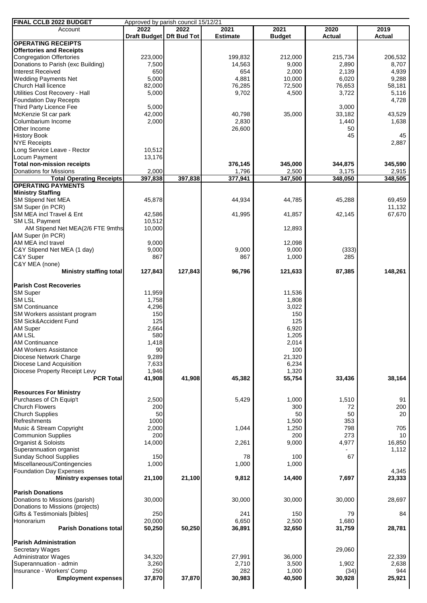| FINAL CCLB 2022 BUDGET<br>Approved by parish council 15/12/21 |                          |         |                 |                 |                 |                 |  |  |  |  |
|---------------------------------------------------------------|--------------------------|---------|-----------------|-----------------|-----------------|-----------------|--|--|--|--|
| Account                                                       | 2022                     | 2022    | 2021            | 2021            | 2020            | 2019            |  |  |  |  |
| <b>OPERATING RECEIPTS</b>                                     | Draft Budget Dft Bud Tot |         | <b>Estimate</b> | <b>Budget</b>   | <b>Actual</b>   | <b>Actual</b>   |  |  |  |  |
| <b>Offertories and Receipts</b>                               |                          |         |                 |                 |                 |                 |  |  |  |  |
| <b>Congregation Offertories</b>                               | 223,000                  |         | 199,832         | 212,000         | 215,734         | 206,532         |  |  |  |  |
| Donations to Parish (exc Building)                            | 7,500                    |         | 14,563          | 9,000           | 2,890           | 8,707           |  |  |  |  |
| <b>Interest Received</b>                                      | 650                      |         | 654             | 2,000           | 2,139           | 4,939           |  |  |  |  |
| <b>Wedding Payments Net</b>                                   | 5,000                    |         | 4,881           | 10,000          | 6,020           | 9,288           |  |  |  |  |
| <b>Church Hall licence</b><br>Utilities Cost Recovery - Hall  | 82,000<br>5,000          |         | 76,285<br>9,702 | 72,500<br>4,500 | 76,653<br>3,722 | 58,181<br>5,116 |  |  |  |  |
| <b>Foundation Day Recepts</b>                                 |                          |         |                 |                 |                 | 4,728           |  |  |  |  |
| Third Party Licence Fee                                       | 5,000                    |         |                 |                 | 3,000           |                 |  |  |  |  |
| McKenzie St car park                                          | 42,000                   |         | 40,798          | 35,000          | 33,182          | 43,529          |  |  |  |  |
| Columbarium Income                                            | 2,000                    |         | 2,830           |                 | 1,440           | 1,638           |  |  |  |  |
| Other Income                                                  |                          |         | 26,600          |                 | 50              |                 |  |  |  |  |
| <b>History Book</b>                                           |                          |         |                 |                 | 45              | 45              |  |  |  |  |
| <b>NYE Receipts</b><br>Long Service Leave - Rector            | 10,512                   |         |                 |                 |                 | 2,887           |  |  |  |  |
| Locum Payment                                                 | 13,176                   |         |                 |                 |                 |                 |  |  |  |  |
| <b>Total non-mission receipts</b>                             |                          |         | 376,145         | 345,000         | 344,875         | 345,590         |  |  |  |  |
| Donations for Missions                                        | 2,000                    |         | 1,796           | 2,500           | 3,175           | 2,915           |  |  |  |  |
| <b>Total Operating Receipts</b>                               | 397,838                  | 397,838 | 377,941         | 347,500         | 348,050         | 348,505         |  |  |  |  |
| <b>OPERATING PAYMENTS</b>                                     |                          |         |                 |                 |                 |                 |  |  |  |  |
| <b>Ministry Staffing</b><br><b>SM Stipend Net MEA</b>         | 45,878                   |         | 44,934          | 44,785          |                 | 69,459          |  |  |  |  |
| SM Super (in PCR)                                             |                          |         |                 |                 | 45,288          | 11,132          |  |  |  |  |
| SM MEA incl Travel & Ent                                      | 42,586                   |         | 41,995          | 41,857          | 42,145          | 67,670          |  |  |  |  |
| SM LSL Payment                                                | 10,512                   |         |                 |                 |                 |                 |  |  |  |  |
| AM Stipend Net MEA(2/6 FTE 9mths                              | 10,000                   |         |                 | 12,893          |                 |                 |  |  |  |  |
| AM Super (in PCR)                                             |                          |         |                 |                 |                 |                 |  |  |  |  |
| AM MEA incl travel                                            | 9,000                    |         |                 | 12,098          |                 |                 |  |  |  |  |
| C&Y Stipend Net MEA (1 day)<br>C&Y Super                      | 9,000<br>867             |         | 9,000<br>867    | 9,000<br>1,000  | (333)<br>285    |                 |  |  |  |  |
| C&Y MEA (none)                                                |                          |         |                 |                 |                 |                 |  |  |  |  |
| Ministry staffing total                                       | 127,843                  | 127,843 | 96,796          | 121,633         | 87,385          | 148,261         |  |  |  |  |
|                                                               |                          |         |                 |                 |                 |                 |  |  |  |  |
| <b>Parish Cost Recoveries</b>                                 |                          |         |                 |                 |                 |                 |  |  |  |  |
| <b>SM Super</b><br><b>SMLSL</b>                               | 11,959<br>1,758          |         |                 | 11,536<br>1,808 |                 |                 |  |  |  |  |
| <b>SM Continuance</b>                                         | 4,296                    |         |                 | 3,022           |                 |                 |  |  |  |  |
| SM Workers assistant program                                  | 150                      |         |                 | 150             |                 |                 |  |  |  |  |
| SM Sick&Accident Fund                                         | 125                      |         |                 | 125             |                 |                 |  |  |  |  |
| <b>AM Super</b>                                               | 2,664                    |         |                 | 6,920           |                 |                 |  |  |  |  |
| AM LSL                                                        | 580                      |         |                 | 1,205           |                 |                 |  |  |  |  |
| <b>AM Continuance</b><br><b>AM Workers Assistance</b>         | 1,418                    |         |                 | 2,014           |                 |                 |  |  |  |  |
| Diocese Network Charge                                        | 90<br>9,289              |         |                 | 100<br>21,320   |                 |                 |  |  |  |  |
| Diocese Land Acquisition                                      | 7,633                    |         |                 | 6,234           |                 |                 |  |  |  |  |
| Diocese Property Receipt Levy                                 | 1,946                    |         |                 | 1,320           |                 |                 |  |  |  |  |
| <b>PCR Total</b>                                              | 41,908                   | 41,908  | 45,382          | 55,754          | 33,436          | 38,164          |  |  |  |  |
|                                                               |                          |         |                 |                 |                 |                 |  |  |  |  |
| <b>Resources For Ministry</b><br>Purchases of Ch Equip't      | 2,500                    |         | 5,429           | 1,000           | 1,510           | 91              |  |  |  |  |
| <b>Church Flowers</b>                                         | 200                      |         |                 | 300             | 72              | 200             |  |  |  |  |
| <b>Church Supplies</b>                                        | 50                       |         |                 | 50              | 50              | 20              |  |  |  |  |
| Refreshments                                                  | 1000                     |         |                 | 1,500           | 353             |                 |  |  |  |  |
| Music & Stream Copyright                                      | 2,000                    |         | 1,044           | 1,250           | 798             | 705             |  |  |  |  |
| <b>Communion Supplies</b><br>Organist & Soloists              | 200<br>14,000            |         | 2,261           | 200<br>9,000    | 273<br>4,977    | 10<br>16,850    |  |  |  |  |
| Superannuation organist                                       |                          |         |                 |                 |                 | 1,112           |  |  |  |  |
| <b>Sunday School Supplies</b>                                 | 150                      |         | 78              | 100             | 67              |                 |  |  |  |  |
| Miscellaneous/Contingencies                                   | 1,000                    |         | 1,000           | 1,000           |                 |                 |  |  |  |  |
| <b>Foundation Day Expenses</b>                                |                          |         |                 |                 |                 | 4,345           |  |  |  |  |
| <b>Ministry expenses total</b>                                | 21,100                   | 21,100  | 9,812           | 14,400          | 7,697           | 23,333          |  |  |  |  |
| <b>Parish Donations</b>                                       |                          |         |                 |                 |                 |                 |  |  |  |  |
| Donations to Missions (parish)                                | 30,000                   |         | 30,000          | 30,000          | 30,000          | 28,697          |  |  |  |  |
| Donations to Missions (projects)                              |                          |         |                 |                 |                 |                 |  |  |  |  |
| Gifts & Testimonials [bibles]                                 | 250                      |         | 241             | 150             | 79              | 84              |  |  |  |  |
| Honorarium                                                    | 20,000                   |         | 6,650           | 2,500           | 1,680           |                 |  |  |  |  |
| <b>Parish Donations total</b>                                 | 50,250                   | 50,250  | 36,891          | 32,650          | 31,759          | 28,781          |  |  |  |  |
| <b>Parish Administration</b>                                  |                          |         |                 |                 |                 |                 |  |  |  |  |
| Secretary Wages                                               |                          |         |                 |                 | 29,060          |                 |  |  |  |  |
| <b>Administrator Wages</b>                                    | 34,320                   |         | 27,991          | 36,000          |                 | 22,339          |  |  |  |  |
| Superannuation - admin                                        | 3,260                    |         | 2,710           | 3,500           | 1,902           | 2,638           |  |  |  |  |
| Insurance - Workers' Comp                                     | 250                      |         | 282             | 1,000           | (34)            | 944             |  |  |  |  |
| <b>Employment expenses</b>                                    | 37,870                   | 37,870  | 30,983          | 40,500          | 30,928          | 25,921          |  |  |  |  |
|                                                               |                          |         |                 |                 |                 |                 |  |  |  |  |